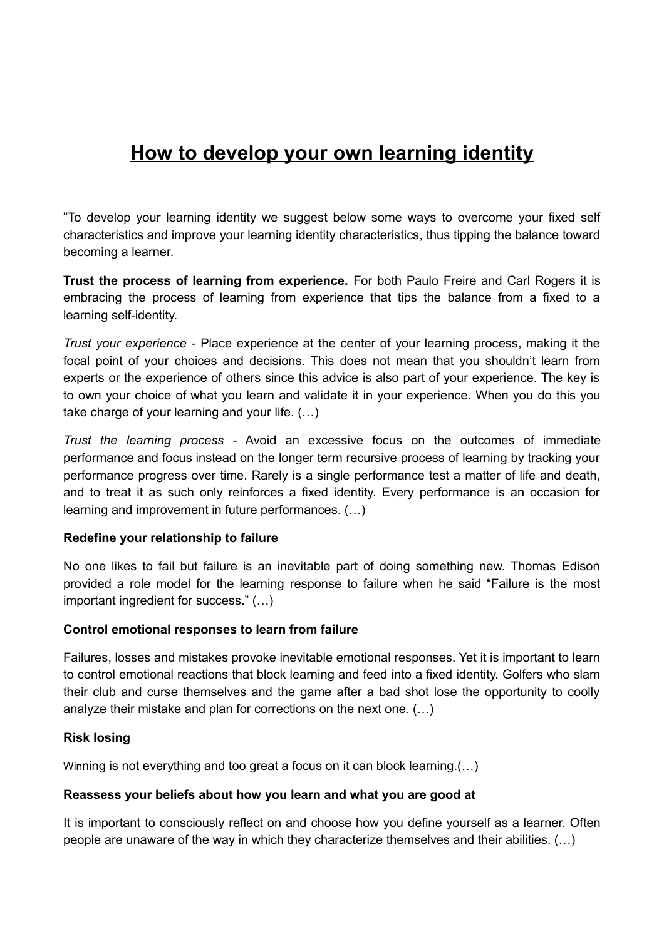# **How to develop your own learning identity**

"To develop your learning identity we suggest below some ways to overcome your fixed self characteristics and improve your learning identity characteristics, thus tipping the balance toward becoming a learner.

**Trust the process of learning from experience.** For both Paulo Freire and Carl Rogers it is embracing the process of learning from experience that tips the balance from a fixed to a learning self-identity.

*Trust your experience -* Place experience at the center of your learning process, making it the focal point of your choices and decisions. This does not mean that you shouldn't learn from experts or the experience of others since this advice is also part of your experience. The key is to own your choice of what you learn and validate it in your experience. When you do this you take charge of your learning and your life. (…)

*Trust the learning process -* Avoid an excessive focus on the outcomes of immediate performance and focus instead on the longer term recursive process of learning by tracking your performance progress over time. Rarely is a single performance test a matter of life and death, and to treat it as such only reinforces a fixed identity. Every performance is an occasion for learning and improvement in future performances. (…)

## **Redefine your relationship to failure**

No one likes to fail but failure is an inevitable part of doing something new. Thomas Edison provided a role model for the learning response to failure when he said "Failure is the most important ingredient for success." (…)

#### **Control emotional responses to learn from failure**

Failures, losses and mistakes provoke inevitable emotional responses. Yet it is important to learn to control emotional reactions that block learning and feed into a fixed identity. Golfers who slam their club and curse themselves and the game after a bad shot lose the opportunity to coolly analyze their mistake and plan for corrections on the next one. (…)

## **Risk losing**

Winning is not everything and too great a focus on it can block learning.(…)

#### **Reassess your beliefs about how you learn and what you are good at**

It is important to consciously reflect on and choose how you define yourself as a learner. Often people are unaware of the way in which they characterize themselves and their abilities. (…)